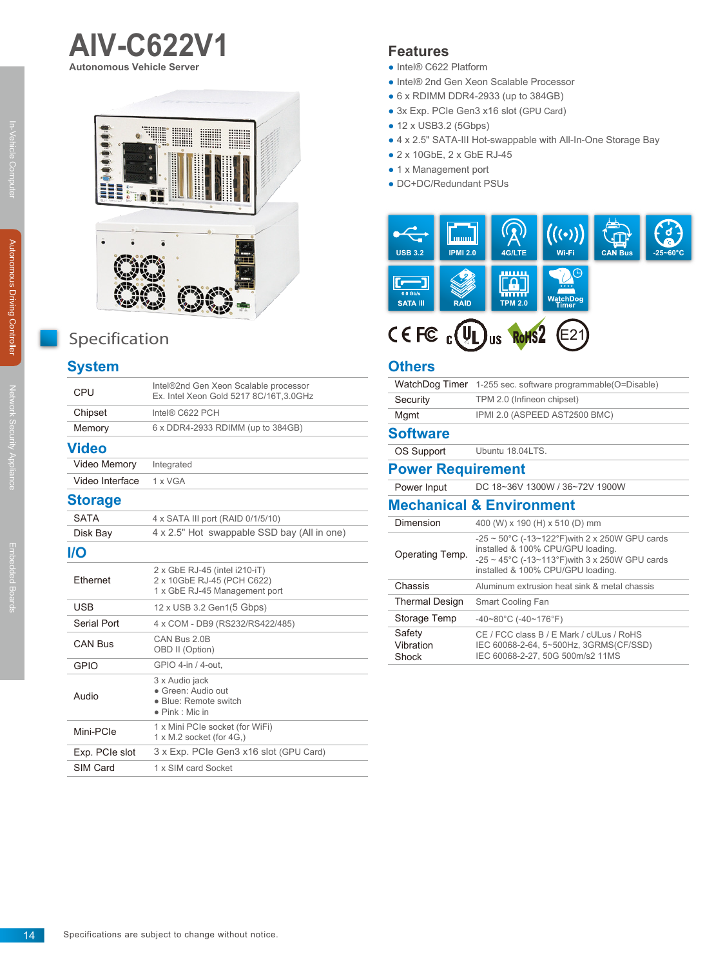

**AIV-C622V1**

**Autonomous Vehicle Server**

# Specification

## **System**

| CPU             | Intel®2nd Gen Xeon Scalable processor<br>Ex. Intel Xeon Gold 5217 8C/16T.3.0GHz              |
|-----------------|----------------------------------------------------------------------------------------------|
| Chipset         | Intel® C622 PCH                                                                              |
| Memory          | 6 x DDR4-2933 RDIMM (up to 384GB)                                                            |
| Video           |                                                                                              |
| Video Memory    | Integrated                                                                                   |
| Video Interface | 1 x VGA                                                                                      |
| <b>Storage</b>  |                                                                                              |
| <b>SATA</b>     | 4 x SATA III port (RAID 0/1/5/10)                                                            |
| Disk Bay        | 4 x 2.5" Hot swappable SSD bay (All in one)                                                  |
| I/O             |                                                                                              |
| <b>Fthernet</b> | 2 x GbE RJ-45 (intel i210-iT)<br>2 x 10GbE RJ-45 (PCH C622)<br>1 x GbE RJ-45 Management port |
| <b>USB</b>      | 12 x USB 3.2 Gen1(5 Gbps)                                                                    |
| Serial Port     | 4 x COM - DB9 (RS232/RS422/485)                                                              |
| <b>CAN Bus</b>  | CAN Bus 2.0B<br>OBD II (Option)                                                              |
| <b>GPIO</b>     | GPIO 4-in / 4-out.                                                                           |
| Audio           | 3 x Audio jack<br>· Green: Audio out<br>· Blue: Remote switch<br>$\bullet$ Pink : Mic in     |
| Mini-PCIe       | 1 x Mini PCIe socket (for WiFi)<br>1 x M.2 socket (for 4G.)                                  |
| Exp. PCIe slot  | 3 x Exp. PCIe Gen3 x16 slot (GPU Card)                                                       |
| SIM Card        | 1 x SIM card Socket                                                                          |
|                 |                                                                                              |

## **Features**

- Intel® C622 Platform
- Intel® 2nd Gen Xeon Scalable Processor
- $\bullet$  6 x RDIMM DDR4-2933 (up to 384GB)
- 3x Exp. PCIe Gen3 x16 slot (GPU Card)
- 12 x USB3.2 (5Gbps)
- 4 x 2.5" SATA-III Hot-swappable with All-In-One Storage Bay
- 2 x 10GbE, 2 x GbE RJ-45
- 1 x Management port
- DC+DC/Redundant PSUs



#### **Others**

| WatchDog Timer                      | 1-255 sec. software programmable (O=Disable)                                                                                                                                                         |  |
|-------------------------------------|------------------------------------------------------------------------------------------------------------------------------------------------------------------------------------------------------|--|
| Security                            | TPM 2.0 (Infineon chipset)                                                                                                                                                                           |  |
| Mgmt                                | IPMI 2.0 (ASPEED AST2500 BMC)                                                                                                                                                                        |  |
| <b>Software</b>                     |                                                                                                                                                                                                      |  |
| OS Support                          | Ubuntu 18.04LTS.                                                                                                                                                                                     |  |
| <b>Power Requirement</b>            |                                                                                                                                                                                                      |  |
| Power Input                         | DC 18~36V 1300W / 36~72V 1900W                                                                                                                                                                       |  |
| <b>Mechanical &amp; Environment</b> |                                                                                                                                                                                                      |  |
| Dimension                           | 400 (W) x 190 (H) x 510 (D) mm                                                                                                                                                                       |  |
| Operating Temp.                     | $-25 \sim 50^{\circ}$ C (-13~122°F) with 2 x 250W GPU cards<br>installed & 100% CPU/GPU loading.<br>$-25 \sim 45^{\circ}$ C (-13~113°F) with 3 x 250W GPU cards<br>installed & 100% CPU/GPU loading. |  |
| Chassis                             | Aluminum extrusion heat sink & metal chassis                                                                                                                                                         |  |
| <b>Thermal Design</b>               | Smart Cooling Fan                                                                                                                                                                                    |  |
| Storage Temp                        | $-40-80^{\circ}$ C ( $-40-176^{\circ}$ F)                                                                                                                                                            |  |
| Safety<br>Vibration<br>Shock        | CE / FCC class B / E Mark / cULus / RoHS<br>IEC 60068-2-64, 5~500Hz, 3GRMS(CF/SSD)<br>IEC 60068-2-27, 50G 500m/s2 11MS                                                                               |  |